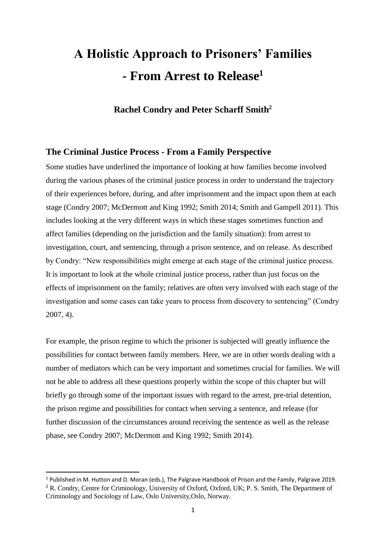# **A Holistic Approach to Prisoners' Families - From Arrest to Release<sup>1</sup>**

# **Rachel Condry and Peter Scharff Smith<sup>2</sup>**

### **The Criminal Justice Process - From a Family Perspective**

Some studies have underlined the importance of looking at how families become involved during the various phases of the criminal justice process in order to understand the trajectory of their experiences before, during, and after imprisonment and the impact upon them at each stage (Condry 2007; McDermott and King 1992; Smith 2014; Smith and Gampell 2011). This includes looking at the very different ways in which these stages sometimes function and affect families (depending on the jurisdiction and the family situation): from arrest to investigation, court, and sentencing, through a prison sentence, and on release. As described by Condry: "New responsibilities might emerge at each stage of the criminal justice process. It is important to look at the whole criminal justice process, rather than just focus on the effects of imprisonment on the family; relatives are often very involved with each stage of the investigation and some cases can take years to process from discovery to sentencing" (Condry 2007, 4).

For example, the prison regime to which the prisoner is subjected will greatly influence the possibilities for contact between family members. Here, we are in other words dealing with a number of mediators which can be very important and sometimes crucial for families. We will not be able to address all these questions properly within the scope of this chapter but will briefly go through some of the important issues with regard to the arrest, pre-trial detention, the prison regime and possibilities for contact when serving a sentence, and release (for further discussion of the circumstances around receiving the sentence as well as the release phase, see Condry 2007; McDermott and King 1992; Smith 2014).

**.** 

<sup>1</sup> Published in M. Hutton and D. Moran (eds.), The Palgrave Handbook of Prison and the Family, Palgrave 2019. <sup>2</sup> R. Condry, Centre for Criminology, University of Oxford, Oxford, UK; P. S. Smith, The Department of Criminology and Sociology of Law, Oslo University,Oslo, Norway.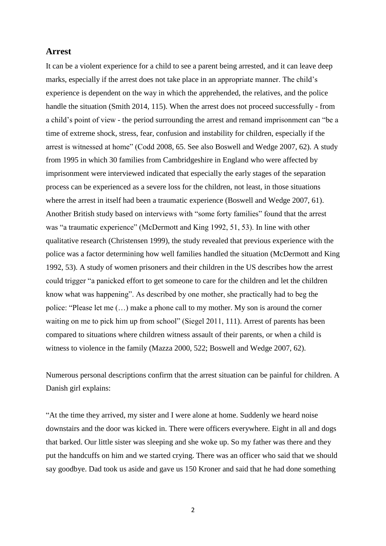## **Arrest**

It can be a violent experience for a child to see a parent being arrested, and it can leave deep marks, especially if the arrest does not take place in an appropriate manner. The child's experience is dependent on the way in which the apprehended, the relatives, and the police handle the situation (Smith 2014, 115). When the arrest does not proceed successfully - from a child's point of view - the period surrounding the arrest and remand imprisonment can "be a time of extreme shock, stress, fear, confusion and instability for children, especially if the arrest is witnessed at home" (Codd 2008, 65. See also Boswell and Wedge 2007, 62). A study from 1995 in which 30 families from Cambridgeshire in England who were affected by imprisonment were interviewed indicated that especially the early stages of the separation process can be experienced as a severe loss for the children, not least, in those situations where the arrest in itself had been a traumatic experience (Boswell and Wedge 2007, 61). Another British study based on interviews with "some forty families" found that the arrest was "a traumatic experience" (McDermott and King 1992, 51, 53). In line with other qualitative research (Christensen 1999), the study revealed that previous experience with the police was a factor determining how well families handled the situation (McDermott and King 1992, 53). A study of women prisoners and their children in the US describes how the arrest could trigger "a panicked effort to get someone to care for the children and let the children know what was happening". As described by one mother, she practically had to beg the police: "Please let me (…) make a phone call to my mother. My son is around the corner waiting on me to pick him up from school" (Siegel 2011, 111). Arrest of parents has been compared to situations where children witness assault of their parents, or when a child is witness to violence in the family (Mazza 2000, 522; Boswell and Wedge 2007, 62).

Numerous personal descriptions confirm that the arrest situation can be painful for children. A Danish girl explains:

"At the time they arrived, my sister and I were alone at home. Suddenly we heard noise downstairs and the door was kicked in. There were officers everywhere. Eight in all and dogs that barked. Our little sister was sleeping and she woke up. So my father was there and they put the handcuffs on him and we started crying. There was an officer who said that we should say goodbye. Dad took us aside and gave us 150 Kroner and said that he had done something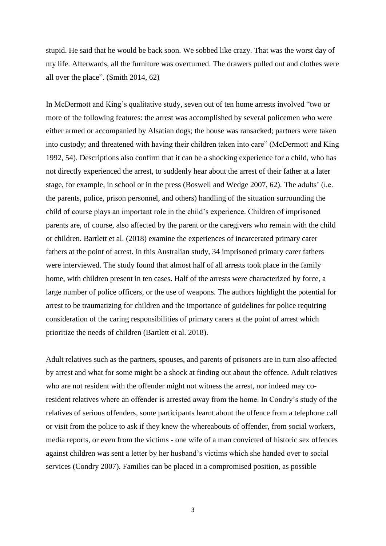stupid. He said that he would be back soon. We sobbed like crazy. That was the worst day of my life. Afterwards, all the furniture was overturned. The drawers pulled out and clothes were all over the place". (Smith 2014, 62)

In McDermott and King's qualitative study, seven out of ten home arrests involved "two or more of the following features: the arrest was accomplished by several policemen who were either armed or accompanied by Alsatian dogs; the house was ransacked; partners were taken into custody; and threatened with having their children taken into care" (McDermott and King 1992, 54). Descriptions also confirm that it can be a shocking experience for a child, who has not directly experienced the arrest, to suddenly hear about the arrest of their father at a later stage, for example, in school or in the press (Boswell and Wedge 2007, 62). The adults' (i.e. the parents, police, prison personnel, and others) handling of the situation surrounding the child of course plays an important role in the child's experience. Children of imprisoned parents are, of course, also affected by the parent or the caregivers who remain with the child or children. Bartlett et al. (2018) examine the experiences of incarcerated primary carer fathers at the point of arrest. In this Australian study, 34 imprisoned primary carer fathers were interviewed. The study found that almost half of all arrests took place in the family home, with children present in ten cases. Half of the arrests were characterized by force, a large number of police officers, or the use of weapons. The authors highlight the potential for arrest to be traumatizing for children and the importance of guidelines for police requiring consideration of the caring responsibilities of primary carers at the point of arrest which prioritize the needs of children (Bartlett et al. 2018).

Adult relatives such as the partners, spouses, and parents of prisoners are in turn also affected by arrest and what for some might be a shock at finding out about the offence. Adult relatives who are not resident with the offender might not witness the arrest, nor indeed may coresident relatives where an offender is arrested away from the home. In Condry's study of the relatives of serious offenders, some participants learnt about the offence from a telephone call or visit from the police to ask if they knew the whereabouts of offender, from social workers, media reports, or even from the victims - one wife of a man convicted of historic sex offences against children was sent a letter by her husband's victims which she handed over to social services (Condry 2007). Families can be placed in a compromised position, as possible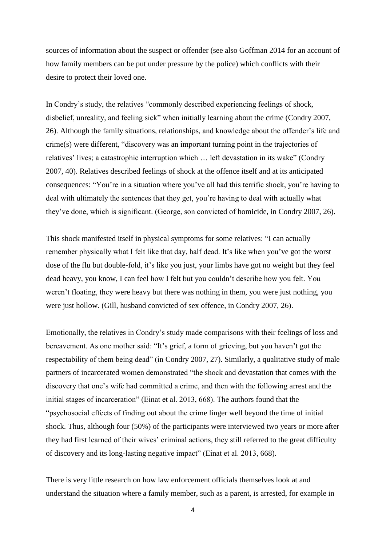sources of information about the suspect or offender (see also Goffman 2014 for an account of how family members can be put under pressure by the police) which conflicts with their desire to protect their loved one.

In Condry's study, the relatives "commonly described experiencing feelings of shock, disbelief, unreality, and feeling sick" when initially learning about the crime (Condry 2007, 26). Although the family situations, relationships, and knowledge about the offender's life and crime(s) were different, "discovery was an important turning point in the trajectories of relatives' lives; a catastrophic interruption which … left devastation in its wake" (Condry 2007, 40). Relatives described feelings of shock at the offence itself and at its anticipated consequences: "You're in a situation where you've all had this terrific shock, you're having to deal with ultimately the sentences that they get, you're having to deal with actually what they've done, which is significant. (George, son convicted of homicide, in Condry 2007, 26).

This shock manifested itself in physical symptoms for some relatives: "I can actually remember physically what I felt like that day, half dead. It's like when you've got the worst dose of the flu but double-fold, it's like you just, your limbs have got no weight but they feel dead heavy, you know, I can feel how I felt but you couldn't describe how you felt. You weren't floating, they were heavy but there was nothing in them, you were just nothing, you were just hollow. (Gill, husband convicted of sex offence, in Condry 2007, 26).

Emotionally, the relatives in Condry's study made comparisons with their feelings of loss and bereavement. As one mother said: "It's grief, a form of grieving, but you haven't got the respectability of them being dead" (in Condry 2007, 27). Similarly, a qualitative study of male partners of incarcerated women demonstrated "the shock and devastation that comes with the discovery that one's wife had committed a crime, and then with the following arrest and the initial stages of incarceration" (Einat et al. 2013, 668). The authors found that the "psychosocial effects of finding out about the crime linger well beyond the time of initial shock. Thus, although four (50%) of the participants were interviewed two years or more after they had first learned of their wives' criminal actions, they still referred to the great difficulty of discovery and its long-lasting negative impact" (Einat et al. 2013, 668).

There is very little research on how law enforcement officials themselves look at and understand the situation where a family member, such as a parent, is arrested, for example in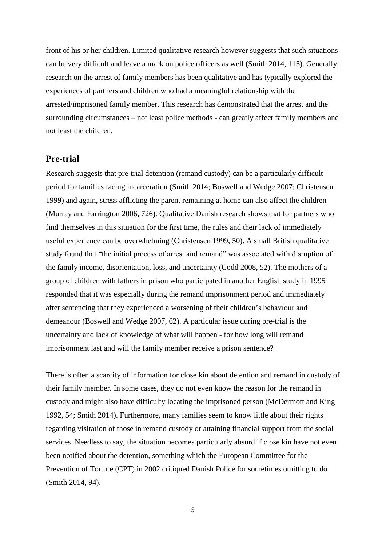front of his or her children. Limited qualitative research however suggests that such situations can be very difficult and leave a mark on police officers as well (Smith 2014, 115). Generally, research on the arrest of family members has been qualitative and has typically explored the experiences of partners and children who had a meaningful relationship with the arrested/imprisoned family member. This research has demonstrated that the arrest and the surrounding circumstances – not least police methods - can greatly affect family members and not least the children.

## **Pre-trial**

Research suggests that pre-trial detention (remand custody) can be a particularly difficult period for families facing incarceration (Smith 2014; Boswell and Wedge 2007; Christensen 1999) and again, stress afflicting the parent remaining at home can also affect the children (Murray and Farrington 2006, 726). Qualitative Danish research shows that for partners who find themselves in this situation for the first time, the rules and their lack of immediately useful experience can be overwhelming (Christensen 1999, 50). A small British qualitative study found that "the initial process of arrest and remand" was associated with disruption of the family income, disorientation, loss, and uncertainty (Codd 2008, 52). The mothers of a group of children with fathers in prison who participated in another English study in 1995 responded that it was especially during the remand imprisonment period and immediately after sentencing that they experienced a worsening of their children's behaviour and demeanour (Boswell and Wedge 2007, 62). A particular issue during pre-trial is the uncertainty and lack of knowledge of what will happen - for how long will remand imprisonment last and will the family member receive a prison sentence?

There is often a scarcity of information for close kin about detention and remand in custody of their family member. In some cases, they do not even know the reason for the remand in custody and might also have difficulty locating the imprisoned person (McDermott and King 1992, 54; Smith 2014). Furthermore, many families seem to know little about their rights regarding visitation of those in remand custody or attaining financial support from the social services. Needless to say, the situation becomes particularly absurd if close kin have not even been notified about the detention, something which the European Committee for the Prevention of Torture (CPT) in 2002 critiqued Danish Police for sometimes omitting to do (Smith 2014, 94).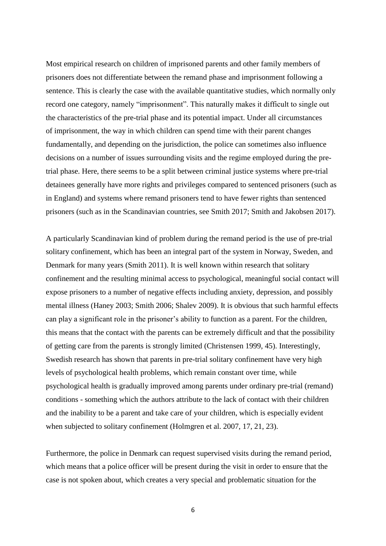Most empirical research on children of imprisoned parents and other family members of prisoners does not differentiate between the remand phase and imprisonment following a sentence. This is clearly the case with the available quantitative studies, which normally only record one category, namely "imprisonment". This naturally makes it difficult to single out the characteristics of the pre-trial phase and its potential impact. Under all circumstances of imprisonment, the way in which children can spend time with their parent changes fundamentally, and depending on the jurisdiction, the police can sometimes also influence decisions on a number of issues surrounding visits and the regime employed during the pretrial phase. Here, there seems to be a split between criminal justice systems where pre-trial detainees generally have more rights and privileges compared to sentenced prisoners (such as in England) and systems where remand prisoners tend to have fewer rights than sentenced prisoners (such as in the Scandinavian countries, see Smith 2017; Smith and Jakobsen 2017).

A particularly Scandinavian kind of problem during the remand period is the use of pre-trial solitary confinement, which has been an integral part of the system in Norway, Sweden, and Denmark for many years (Smith 2011). It is well known within research that solitary confinement and the resulting minimal access to psychological, meaningful social contact will expose prisoners to a number of negative effects including anxiety, depression, and possibly mental illness (Haney 2003; Smith 2006; Shalev 2009). It is obvious that such harmful effects can play a significant role in the prisoner's ability to function as a parent. For the children, this means that the contact with the parents can be extremely difficult and that the possibility of getting care from the parents is strongly limited (Christensen 1999, 45). Interestingly, Swedish research has shown that parents in pre-trial solitary confinement have very high levels of psychological health problems, which remain constant over time, while psychological health is gradually improved among parents under ordinary pre-trial (remand) conditions - something which the authors attribute to the lack of contact with their children and the inability to be a parent and take care of your children, which is especially evident when subjected to solitary confinement (Holmgren et al. 2007, 17, 21, 23).

Furthermore, the police in Denmark can request supervised visits during the remand period, which means that a police officer will be present during the visit in order to ensure that the case is not spoken about, which creates a very special and problematic situation for the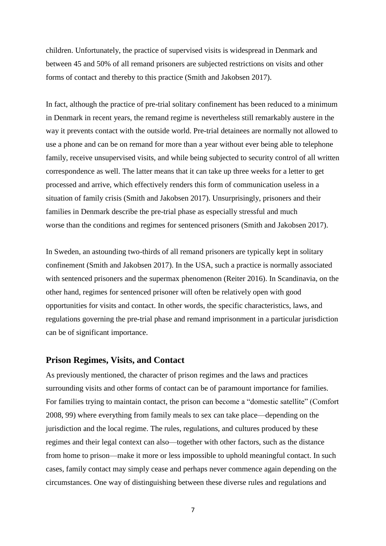children. Unfortunately, the practice of supervised visits is widespread in Denmark and between 45 and 50% of all remand prisoners are subjected restrictions on visits and other forms of contact and thereby to this practice (Smith and Jakobsen 2017).

In fact, although the practice of pre-trial solitary confinement has been reduced to a minimum in Denmark in recent years, the remand regime is nevertheless still remarkably austere in the way it prevents contact with the outside world. Pre-trial detainees are normally not allowed to use a phone and can be on remand for more than a year without ever being able to telephone family, receive unsupervised visits, and while being subjected to security control of all written correspondence as well. The latter means that it can take up three weeks for a letter to get processed and arrive, which effectively renders this form of communication useless in a situation of family crisis (Smith and Jakobsen 2017). Unsurprisingly, prisoners and their families in Denmark describe the pre-trial phase as especially stressful and much worse than the conditions and regimes for sentenced prisoners (Smith and Jakobsen 2017).

In Sweden, an astounding two-thirds of all remand prisoners are typically kept in solitary confinement (Smith and Jakobsen 2017). In the USA, such a practice is normally associated with sentenced prisoners and the supermax phenomenon (Reiter 2016). In Scandinavia, on the other hand, regimes for sentenced prisoner will often be relatively open with good opportunities for visits and contact. In other words, the specific characteristics, laws, and regulations governing the pre-trial phase and remand imprisonment in a particular jurisdiction can be of significant importance.

#### **Prison Regimes, Visits, and Contact**

As previously mentioned, the character of prison regimes and the laws and practices surrounding visits and other forms of contact can be of paramount importance for families. For families trying to maintain contact, the prison can become a "domestic satellite" (Comfort 2008, 99) where everything from family meals to sex can take place—depending on the jurisdiction and the local regime. The rules, regulations, and cultures produced by these regimes and their legal context can also—together with other factors, such as the distance from home to prison—make it more or less impossible to uphold meaningful contact. In such cases, family contact may simply cease and perhaps never commence again depending on the circumstances. One way of distinguishing between these diverse rules and regulations and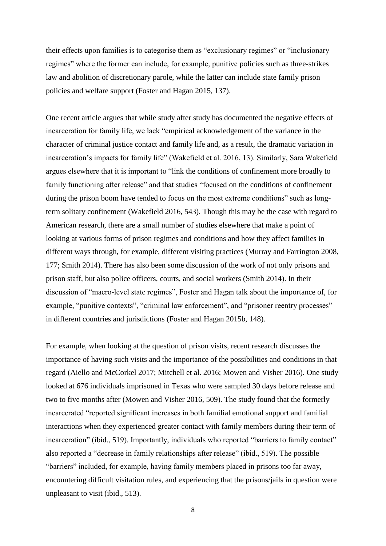their effects upon families is to categorise them as "exclusionary regimes" or "inclusionary regimes" where the former can include, for example, punitive policies such as three-strikes law and abolition of discretionary parole, while the latter can include state family prison policies and welfare support (Foster and Hagan 2015, 137).

One recent article argues that while study after study has documented the negative effects of incarceration for family life, we lack "empirical acknowledgement of the variance in the character of criminal justice contact and family life and, as a result, the dramatic variation in incarceration's impacts for family life" (Wakefield et al. 2016, 13). Similarly, Sara Wakefield argues elsewhere that it is important to "link the conditions of confinement more broadly to family functioning after release" and that studies "focused on the conditions of confinement during the prison boom have tended to focus on the most extreme conditions" such as longterm solitary confinement (Wakefield 2016, 543). Though this may be the case with regard to American research, there are a small number of studies elsewhere that make a point of looking at various forms of prison regimes and conditions and how they affect families in different ways through, for example, different visiting practices (Murray and Farrington 2008, 177; Smith 2014). There has also been some discussion of the work of not only prisons and prison staff, but also police officers, courts, and social workers (Smith 2014). In their discussion of "macro-level state regimes", Foster and Hagan talk about the importance of, for example, "punitive contexts", "criminal law enforcement", and "prisoner reentry processes" in different countries and jurisdictions (Foster and Hagan 2015b, 148).

For example, when looking at the question of prison visits, recent research discusses the importance of having such visits and the importance of the possibilities and conditions in that regard (Aiello and McCorkel 2017; Mitchell et al. 2016; Mowen and Visher 2016). One study looked at 676 individuals imprisoned in Texas who were sampled 30 days before release and two to five months after (Mowen and Visher 2016, 509). The study found that the formerly incarcerated "reported significant increases in both familial emotional support and familial interactions when they experienced greater contact with family members during their term of incarceration" (ibid., 519). Importantly, individuals who reported "barriers to family contact" also reported a "decrease in family relationships after release" (ibid., 519). The possible "barriers" included, for example, having family members placed in prisons too far away, encountering difficult visitation rules, and experiencing that the prisons/jails in question were unpleasant to visit (ibid., 513).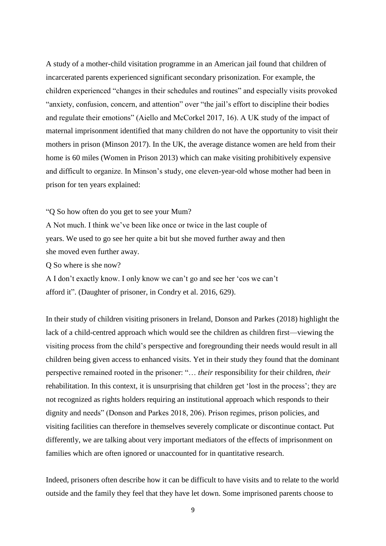A study of a mother-child visitation programme in an American jail found that children of incarcerated parents experienced significant secondary prisonization. For example, the children experienced "changes in their schedules and routines" and especially visits provoked "anxiety, confusion, concern, and attention" over "the jail's effort to discipline their bodies and regulate their emotions" (Aiello and McCorkel 2017, 16). A UK study of the impact of maternal imprisonment identified that many children do not have the opportunity to visit their mothers in prison (Minson 2017). In the UK, the average distance women are held from their home is 60 miles (Women in Prison 2013) which can make visiting prohibitively expensive and difficult to organize. In Minson's study, one eleven-year-old whose mother had been in prison for ten years explained:

"Q So how often do you get to see your Mum?

A Not much. I think we've been like once or twice in the last couple of years. We used to go see her quite a bit but she moved further away and then she moved even further away.

Q So where is she now?

A I don't exactly know. I only know we can't go and see her 'cos we can't afford it". (Daughter of prisoner, in Condry et al. 2016, 629).

In their study of children visiting prisoners in Ireland, Donson and Parkes (2018) highlight the lack of a child-centred approach which would see the children as children first—viewing the visiting process from the child's perspective and foregrounding their needs would result in all children being given access to enhanced visits. Yet in their study they found that the dominant perspective remained rooted in the prisoner: "… *their* responsibility for their children, *their*  rehabilitation. In this context, it is unsurprising that children get 'lost in the process'; they are not recognized as rights holders requiring an institutional approach which responds to their dignity and needs" (Donson and Parkes 2018, 206). Prison regimes, prison policies, and visiting facilities can therefore in themselves severely complicate or discontinue contact. Put differently, we are talking about very important mediators of the effects of imprisonment on families which are often ignored or unaccounted for in quantitative research.

Indeed, prisoners often describe how it can be difficult to have visits and to relate to the world outside and the family they feel that they have let down. Some imprisoned parents choose to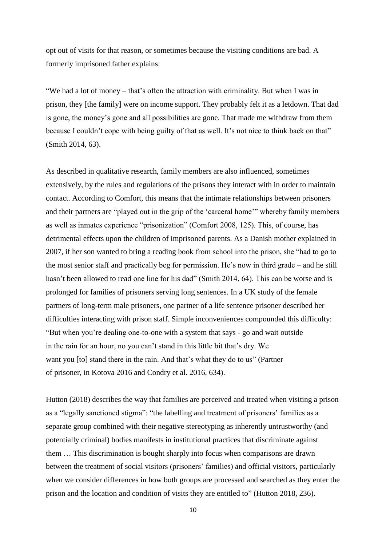opt out of visits for that reason, or sometimes because the visiting conditions are bad. A formerly imprisoned father explains:

"We had a lot of money – that's often the attraction with criminality. But when I was in prison, they [the family] were on income support. They probably felt it as a letdown. That dad is gone, the money's gone and all possibilities are gone. That made me withdraw from them because I couldn't cope with being guilty of that as well. It's not nice to think back on that" (Smith 2014, 63).

As described in qualitative research, family members are also influenced, sometimes extensively, by the rules and regulations of the prisons they interact with in order to maintain contact. According to Comfort, this means that the intimate relationships between prisoners and their partners are "played out in the grip of the 'carceral home'" whereby family members as well as inmates experience "prisonization" (Comfort 2008, 125). This, of course, has detrimental effects upon the children of imprisoned parents. As a Danish mother explained in 2007, if her son wanted to bring a reading book from school into the prison, she "had to go to the most senior staff and practically beg for permission. He's now in third grade – and he still hasn't been allowed to read one line for his dad" (Smith 2014, 64). This can be worse and is prolonged for families of prisoners serving long sentences. In a UK study of the female partners of long-term male prisoners, one partner of a life sentence prisoner described her difficulties interacting with prison staff. Simple inconveniences compounded this difficulty: "But when you're dealing one-to-one with a system that says - go and wait outside in the rain for an hour, no you can't stand in this little bit that's dry. We want you [to] stand there in the rain. And that's what they do to us" (Partner of prisoner, in Kotova 2016 and Condry et al. 2016, 634).

Hutton (2018) describes the way that families are perceived and treated when visiting a prison as a "legally sanctioned stigma": "the labelling and treatment of prisoners' families as a separate group combined with their negative stereotyping as inherently untrustworthy (and potentially criminal) bodies manifests in institutional practices that discriminate against them … This discrimination is bought sharply into focus when comparisons are drawn between the treatment of social visitors (prisoners' families) and official visitors, particularly when we consider differences in how both groups are processed and searched as they enter the prison and the location and condition of visits they are entitled to" (Hutton 2018, 236).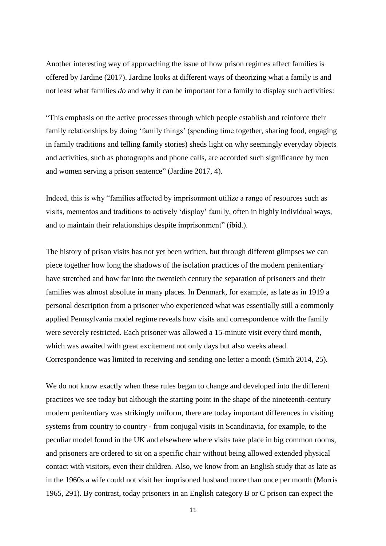Another interesting way of approaching the issue of how prison regimes affect families is offered by Jardine (2017). Jardine looks at different ways of theorizing what a family is and not least what families *do* and why it can be important for a family to display such activities:

"This emphasis on the active processes through which people establish and reinforce their family relationships by doing 'family things' (spending time together, sharing food, engaging in family traditions and telling family stories) sheds light on why seemingly everyday objects and activities, such as photographs and phone calls, are accorded such significance by men and women serving a prison sentence" (Jardine 2017, 4).

Indeed, this is why "families affected by imprisonment utilize a range of resources such as visits, mementos and traditions to actively 'display' family, often in highly individual ways, and to maintain their relationships despite imprisonment" (ibid.).

The history of prison visits has not yet been written, but through different glimpses we can piece together how long the shadows of the isolation practices of the modern penitentiary have stretched and how far into the twentieth century the separation of prisoners and their families was almost absolute in many places. In Denmark, for example, as late as in 1919 a personal description from a prisoner who experienced what was essentially still a commonly applied Pennsylvania model regime reveals how visits and correspondence with the family were severely restricted. Each prisoner was allowed a 15-minute visit every third month, which was awaited with great excitement not only days but also weeks ahead. Correspondence was limited to receiving and sending one letter a month (Smith 2014, 25).

We do not know exactly when these rules began to change and developed into the different practices we see today but although the starting point in the shape of the nineteenth-century modern penitentiary was strikingly uniform, there are today important differences in visiting systems from country to country - from conjugal visits in Scandinavia, for example, to the peculiar model found in the UK and elsewhere where visits take place in big common rooms, and prisoners are ordered to sit on a specific chair without being allowed extended physical contact with visitors, even their children. Also, we know from an English study that as late as in the 1960s a wife could not visit her imprisoned husband more than once per month (Morris 1965, 291). By contrast, today prisoners in an English category B or C prison can expect the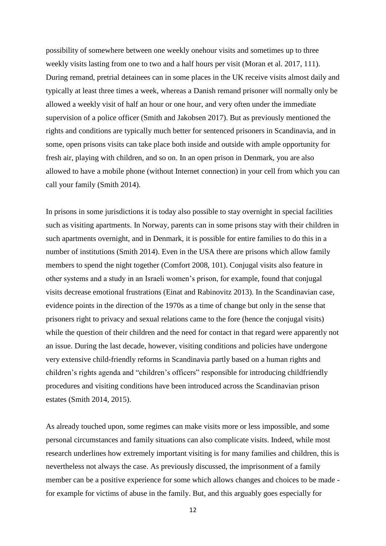possibility of somewhere between one weekly onehour visits and sometimes up to three weekly visits lasting from one to two and a half hours per visit (Moran et al. 2017, 111). During remand, pretrial detainees can in some places in the UK receive visits almost daily and typically at least three times a week, whereas a Danish remand prisoner will normally only be allowed a weekly visit of half an hour or one hour, and very often under the immediate supervision of a police officer (Smith and Jakobsen 2017). But as previously mentioned the rights and conditions are typically much better for sentenced prisoners in Scandinavia, and in some, open prisons visits can take place both inside and outside with ample opportunity for fresh air, playing with children, and so on. In an open prison in Denmark, you are also allowed to have a mobile phone (without Internet connection) in your cell from which you can call your family (Smith 2014).

In prisons in some jurisdictions it is today also possible to stay overnight in special facilities such as visiting apartments. In Norway, parents can in some prisons stay with their children in such apartments overnight, and in Denmark, it is possible for entire families to do this in a number of institutions (Smith 2014). Even in the USA there are prisons which allow family members to spend the night together (Comfort 2008, 101). Conjugal visits also feature in other systems and a study in an Israeli women's prison, for example, found that conjugal visits decrease emotional frustrations (Einat and Rabinovitz 2013). In the Scandinavian case, evidence points in the direction of the 1970s as a time of change but only in the sense that prisoners right to privacy and sexual relations came to the fore (hence the conjugal visits) while the question of their children and the need for contact in that regard were apparently not an issue. During the last decade, however, visiting conditions and policies have undergone very extensive child-friendly reforms in Scandinavia partly based on a human rights and children's rights agenda and "children's officers" responsible for introducing childfriendly procedures and visiting conditions have been introduced across the Scandinavian prison estates (Smith 2014, 2015).

As already touched upon, some regimes can make visits more or less impossible, and some personal circumstances and family situations can also complicate visits. Indeed, while most research underlines how extremely important visiting is for many families and children, this is nevertheless not always the case. As previously discussed, the imprisonment of a family member can be a positive experience for some which allows changes and choices to be made for example for victims of abuse in the family. But, and this arguably goes especially for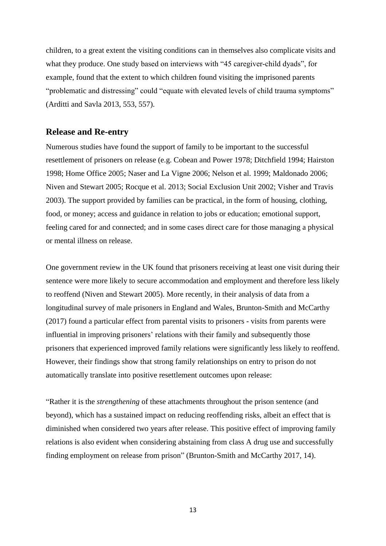children, to a great extent the visiting conditions can in themselves also complicate visits and what they produce. One study based on interviews with "45 caregiver-child dyads", for example, found that the extent to which children found visiting the imprisoned parents "problematic and distressing" could "equate with elevated levels of child trauma symptoms" (Arditti and Savla 2013, 553, 557).

## **Release and Re-entry**

Numerous studies have found the support of family to be important to the successful resettlement of prisoners on release (e.g. Cobean and Power 1978; Ditchfield 1994; Hairston 1998; Home Office 2005; Naser and La Vigne 2006; Nelson et al. 1999; Maldonado 2006; Niven and Stewart 2005; Rocque et al. 2013; Social Exclusion Unit 2002; Visher and Travis 2003). The support provided by families can be practical, in the form of housing, clothing, food, or money; access and guidance in relation to jobs or education; emotional support, feeling cared for and connected; and in some cases direct care for those managing a physical or mental illness on release.

One government review in the UK found that prisoners receiving at least one visit during their sentence were more likely to secure accommodation and employment and therefore less likely to reoffend (Niven and Stewart 2005). More recently, in their analysis of data from a longitudinal survey of male prisoners in England and Wales, Brunton-Smith and McCarthy (2017) found a particular effect from parental visits to prisoners - visits from parents were influential in improving prisoners' relations with their family and subsequently those prisoners that experienced improved family relations were significantly less likely to reoffend. However, their findings show that strong family relationships on entry to prison do not automatically translate into positive resettlement outcomes upon release:

"Rather it is the *strengthening* of these attachments throughout the prison sentence (and beyond), which has a sustained impact on reducing reoffending risks, albeit an effect that is diminished when considered two years after release. This positive effect of improving family relations is also evident when considering abstaining from class A drug use and successfully finding employment on release from prison" (Brunton-Smith and McCarthy 2017, 14).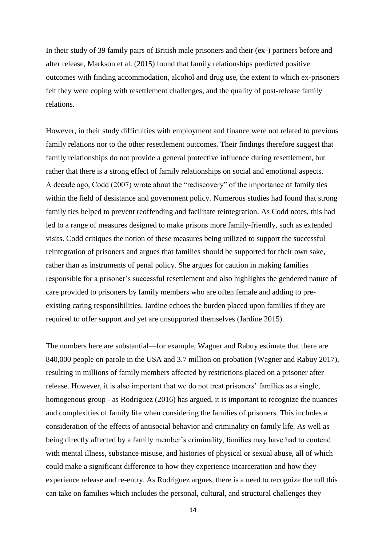In their study of 39 family pairs of British male prisoners and their (ex-) partners before and after release, Markson et al. (2015) found that family relationships predicted positive outcomes with finding accommodation, alcohol and drug use, the extent to which ex-prisoners felt they were coping with resettlement challenges, and the quality of post-release family relations.

However, in their study difficulties with employment and finance were not related to previous family relations nor to the other resettlement outcomes. Their findings therefore suggest that family relationships do not provide a general protective influence during resettlement, but rather that there is a strong effect of family relationships on social and emotional aspects. A decade ago, Codd (2007) wrote about the "rediscovery" of the importance of family ties within the field of desistance and government policy. Numerous studies had found that strong family ties helped to prevent reoffending and facilitate reintegration. As Codd notes, this had led to a range of measures designed to make prisons more family-friendly, such as extended visits. Codd critiques the notion of these measures being utilized to support the successful reintegration of prisoners and argues that families should be supported for their own sake, rather than as instruments of penal policy. She argues for caution in making families responsible for a prisoner's successful resettlement and also highlights the gendered nature of care provided to prisoners by family members who are often female and adding to preexisting caring responsibilities. Jardine echoes the burden placed upon families if they are required to offer support and yet are unsupported themselves (Jardine 2015).

The numbers here are substantial—for example, Wagner and Rabuy estimate that there are 840,000 people on parole in the USA and 3.7 million on probation (Wagner and Rabuy 2017), resulting in millions of family members affected by restrictions placed on a prisoner after release. However, it is also important that we do not treat prisoners' families as a single, homogenous group - as Rodriguez (2016) has argued, it is important to recognize the nuances and complexities of family life when considering the families of prisoners. This includes a consideration of the effects of antisocial behavior and criminality on family life. As well as being directly affected by a family member's criminality, families may have had to contend with mental illness, substance misuse, and histories of physical or sexual abuse, all of which could make a significant difference to how they experience incarceration and how they experience release and re-entry. As Rodriguez argues, there is a need to recognize the toll this can take on families which includes the personal, cultural, and structural challenges they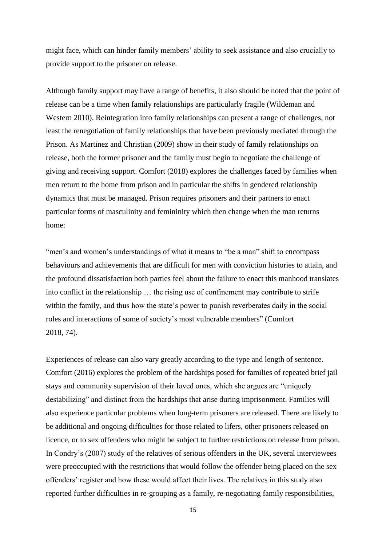might face, which can hinder family members' ability to seek assistance and also crucially to provide support to the prisoner on release.

Although family support may have a range of benefits, it also should be noted that the point of release can be a time when family relationships are particularly fragile (Wildeman and Western 2010). Reintegration into family relationships can present a range of challenges, not least the renegotiation of family relationships that have been previously mediated through the Prison. As Martinez and Christian (2009) show in their study of family relationships on release, both the former prisoner and the family must begin to negotiate the challenge of giving and receiving support. Comfort (2018) explores the challenges faced by families when men return to the home from prison and in particular the shifts in gendered relationship dynamics that must be managed. Prison requires prisoners and their partners to enact particular forms of masculinity and femininity which then change when the man returns home:

"men's and women's understandings of what it means to "be a man" shift to encompass behaviours and achievements that are difficult for men with conviction histories to attain, and the profound dissatisfaction both parties feel about the failure to enact this manhood translates into conflict in the relationship … the rising use of confinement may contribute to strife within the family, and thus how the state's power to punish reverberates daily in the social roles and interactions of some of society's most vulnerable members" (Comfort 2018, 74).

Experiences of release can also vary greatly according to the type and length of sentence. Comfort (2016) explores the problem of the hardships posed for families of repeated brief jail stays and community supervision of their loved ones, which she argues are "uniquely destabilizing" and distinct from the hardships that arise during imprisonment. Families will also experience particular problems when long-term prisoners are released. There are likely to be additional and ongoing difficulties for those related to lifers, other prisoners released on licence, or to sex offenders who might be subject to further restrictions on release from prison. In Condry's (2007) study of the relatives of serious offenders in the UK, several interviewees were preoccupied with the restrictions that would follow the offender being placed on the sex offenders' register and how these would affect their lives. The relatives in this study also reported further difficulties in re-grouping as a family, re-negotiating family responsibilities,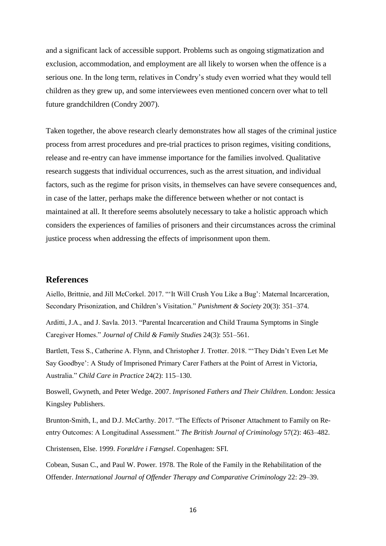and a significant lack of accessible support. Problems such as ongoing stigmatization and exclusion, accommodation, and employment are all likely to worsen when the offence is a serious one. In the long term, relatives in Condry's study even worried what they would tell children as they grew up, and some interviewees even mentioned concern over what to tell future grandchildren (Condry 2007).

Taken together, the above research clearly demonstrates how all stages of the criminal justice process from arrest procedures and pre-trial practices to prison regimes, visiting conditions, release and re-entry can have immense importance for the families involved. Qualitative research suggests that individual occurrences, such as the arrest situation, and individual factors, such as the regime for prison visits, in themselves can have severe consequences and, in case of the latter, perhaps make the difference between whether or not contact is maintained at all. It therefore seems absolutely necessary to take a holistic approach which considers the experiences of families of prisoners and their circumstances across the criminal justice process when addressing the effects of imprisonment upon them.

#### **References**

Aiello, Brittnie, and Jill McCorkel. 2017. "'It Will Crush You Like a Bug': Maternal Incarceration, Secondary Prisonization, and Children's Visitation." *Punishment & Society* 20(3): 351–374.

Arditti, J.A., and J. Savla. 2013. "Parental Incarceration and Child Trauma Symptoms in Single Caregiver Homes." *Journal of Child & Family Studies* 24(3): 551–561.

Bartlett, Tess S., Catherine A. Flynn, and Christopher J. Trotter. 2018. "'They Didn't Even Let Me Say Goodbye': A Study of Imprisoned Primary Carer Fathers at the Point of Arrest in Victoria, Australia." *Child Care in Practice* 24(2): 115–130.

Boswell, Gwyneth, and Peter Wedge. 2007. *Imprisoned Fathers and Their Children*. London: Jessica Kingsley Publishers.

Brunton-Smith, I., and D.J. McCarthy. 2017. "The Effects of Prisoner Attachment to Family on Reentry Outcomes: A Longitudinal Assessment." *The British Journal of Criminology* 57(2): 463–482.

Christensen, Else. 1999. *Forældre i Fængsel*. Copenhagen: SFI.

Cobean, Susan C., and Paul W. Power. 1978. The Role of the Family in the Rehabilitation of the Offender. *International Journal of Offender Therapy and Comparative Criminology* 22: 29–39.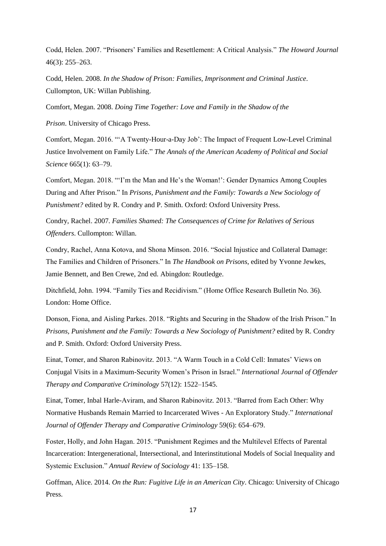Codd, Helen. 2007. "Prisoners' Families and Resettlement: A Critical Analysis." *The Howard Journal*  46(3): 255–263.

Codd, Helen. 2008. *In the Shadow of Prison: Families, Imprisonment and Criminal Justice*. Cullompton, UK: Willan Publishing.

Comfort, Megan. 2008. *Doing Time Together: Love and Family in the Shadow of the*

*Prison*. University of Chicago Press.

Comfort, Megan. 2016. "'A Twenty-Hour-a-Day Job': The Impact of Frequent Low-Level Criminal Justice Involvement on Family Life." *The Annals of the American Academy of Political and Social Science* 665(1): 63–79.

Comfort, Megan. 2018. "'I'm the Man and He's the Woman!': Gender Dynamics Among Couples During and After Prison." In *Prisons, Punishment and the Family: Towards a New Sociology of Punishment?* edited by R. Condry and P. Smith. Oxford: Oxford University Press.

Condry, Rachel. 2007. *Families Shamed: The Consequences of Crime for Relatives of Serious Offenders*. Cullompton: Willan.

Condry, Rachel, Anna Kotova, and Shona Minson. 2016. "Social Injustice and Collateral Damage: The Families and Children of Prisoners." In *The Handbook on Prisons*, edited by Yvonne Jewkes, Jamie Bennett, and Ben Crewe, 2nd ed. Abingdon: Routledge.

Ditchfield, John. 1994. "Family Ties and Recidivism." (Home Office Research Bulletin No. 36). London: Home Office.

Donson, Fiona, and Aisling Parkes. 2018. "Rights and Securing in the Shadow of the Irish Prison." In *Prisons, Punishment and the Family: Towards a New Sociology of Punishment?* edited by R. Condry and P. Smith. Oxford: Oxford University Press.

Einat, Tomer, and Sharon Rabinovitz. 2013. "A Warm Touch in a Cold Cell: Inmates' Views on Conjugal Visits in a Maximum-Security Women's Prison in Israel." *International Journal of Offender Therapy and Comparative Criminology* 57(12): 1522–1545.

Einat, Tomer, Inbal Harle-Aviram, and Sharon Rabinovitz. 2013. "Barred from Each Other: Why Normative Husbands Remain Married to Incarcerated Wives - An Exploratory Study." *International Journal of Offender Therapy and Comparative Criminology* 59(6): 654–679.

Foster, Holly, and John Hagan. 2015. "Punishment Regimes and the Multilevel Effects of Parental Incarceration: Intergenerational, Intersectional, and Interinstitutional Models of Social Inequality and Systemic Exclusion." *Annual Review of Sociology* 41: 135–158.

Goffman, Alice. 2014. *On the Run: Fugitive Life in an American City*. Chicago: University of Chicago Press.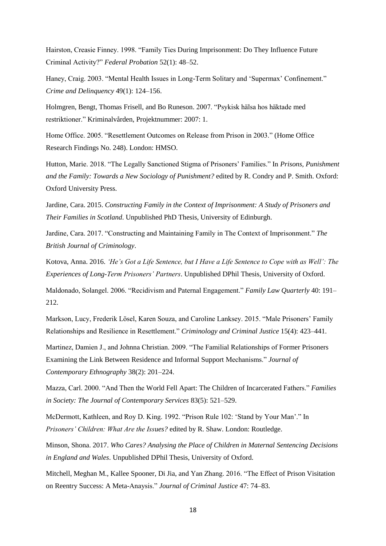Hairston, Creasie Finney. 1998. "Family Ties During Imprisonment: Do They Influence Future Criminal Activity?" *Federal Probation* 52(1): 48–52.

Haney, Craig. 2003. "Mental Health Issues in Long-Term Solitary and 'Supermax' Confinement." *Crime and Delinquency* 49(1): 124–156.

Holmgren, Bengt, Thomas Frisell, and Bo Runeson. 2007. "Psykisk hälsa hos häktade med restriktioner." Kriminalvården, Projektnummer: 2007: 1.

Home Office. 2005. "Resettlement Outcomes on Release from Prison in 2003." (Home Office Research Findings No. 248). London: HMSO.

Hutton, Marie. 2018. "The Legally Sanctioned Stigma of Prisoners' Families." In *Prisons, Punishment and the Family: Towards a New Sociology of Punishment?* edited by R. Condry and P. Smith. Oxford: Oxford University Press.

Jardine, Cara. 2015. *Constructing Family in the Context of Imprisonment: A Study of Prisoners and Their Families in Scotland*. Unpublished PhD Thesis, University of Edinburgh.

Jardine, Cara. 2017. "Constructing and Maintaining Family in The Context of Imprisonment." *The British Journal of Criminology*.

Kotova, Anna. 2016. *'He's Got a Life Sentence, but I Have a Life Sentence to Cope with as Well': The Experiences of Long-Term Prisoners' Partners*. Unpublished DPhil Thesis, University of Oxford.

Maldonado, Solangel. 2006. "Recidivism and Paternal Engagement." *Family Law Quarterly* 40: 191– 212.

Markson, Lucy, Frederik Lösel, Karen Souza, and Caroline Lanksey. 2015. "Male Prisoners' Family Relationships and Resilience in Resettlement." *Criminology and Criminal Justice* 15(4): 423–441.

Martinez, Damien J., and Johnna Christian. 2009. "The Familial Relationships of Former Prisoners Examining the Link Between Residence and Informal Support Mechanisms." *Journal of Contemporary Ethnography* 38(2): 201–224.

Mazza, Carl. 2000. "And Then the World Fell Apart: The Children of Incarcerated Fathers." *Families in Society: The Journal of Contemporary Services* 83(5): 521–529.

McDermott, Kathleen, and Roy D. King. 1992. "Prison Rule 102: 'Stand by Your Man'." In *Prisoners' Children: What Are the Issues?* edited by R. Shaw. London: Routledge.

Minson, Shona. 2017. *Who Cares? Analysing the Place of Children in Maternal Sentencing Decisions in England and Wales*. Unpublished DPhil Thesis, University of Oxford.

Mitchell, Meghan M., Kallee Spooner, Di Jia, and Yan Zhang. 2016. "The Effect of Prison Visitation on Reentry Success: A Meta-Anaysis." *Journal of Criminal Justice* 47: 74–83.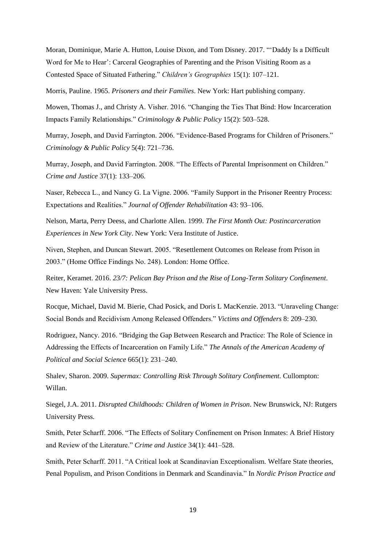Moran, Dominique, Marie A. Hutton, Louise Dixon, and Tom Disney. 2017. "'Daddy Is a Difficult Word for Me to Hear': Carceral Geographies of Parenting and the Prison Visiting Room as a Contested Space of Situated Fathering." *Children's Geographies* 15(1): 107–121.

Morris, Pauline. 1965. *Prisoners and their Families*. New York: Hart publishing company.

Mowen, Thomas J., and Christy A. Visher. 2016. "Changing the Ties That Bind: How Incarceration Impacts Family Relationships." *Criminology & Public Policy* 15(2): 503–528.

Murray, Joseph, and David Farrington. 2006. "Evidence-Based Programs for Children of Prisoners." *Criminology & Public Policy* 5(4): 721–736.

Murray, Joseph, and David Farrington. 2008. "The Effects of Parental Imprisonment on Children." *Crime and Justice* 37(1): 133–206.

Naser, Rebecca L., and Nancy G. La Vigne. 2006. "Family Support in the Prisoner Reentry Process: Expectations and Realities." *Journal of Offender Rehabilitation* 43: 93–106.

Nelson, Marta, Perry Deess, and Charlotte Allen. 1999. *The First Month Out: Postincarceration Experiences in New York City*. New York: Vera Institute of Justice.

Niven, Stephen, and Duncan Stewart. 2005. "Resettlement Outcomes on Release from Prison in 2003." (Home Office Findings No. 248). London: Home Office.

Reiter, Keramet. 2016. *23/7: Pelican Bay Prison and the Rise of Long-Term Solitary Confinement*. New Haven: Yale University Press.

Rocque, Michael, David M. Bierie, Chad Posick, and Doris L MacKenzie. 2013. "Unraveling Change: Social Bonds and Recidivism Among Released Offenders." *Victims and Offenders* 8: 209–230.

Rodriguez, Nancy. 2016. "Bridging the Gap Between Research and Practice: The Role of Science in Addressing the Effects of Incarceration on Family Life." *The Annals of the American Academy of Political and Social Science* 665(1): 231–240.

Shalev, Sharon. 2009. *Supermax: Controlling Risk Through Solitary Confinement.* Cullompton: Willan.

Siegel, J.A. 2011. *Disrupted Childhoods: Children of Women in Prison*. New Brunswick, NJ: Rutgers University Press.

Smith, Peter Scharff. 2006. "The Effects of Solitary Confinement on Prison Inmates: A Brief History and Review of the Literature." *Crime and Justice* 34(1): 441–528.

Smith, Peter Scharff. 2011. "A Critical look at Scandinavian Exceptionalism. Welfare State theories, Penal Populism, and Prison Conditions in Denmark and Scandinavia." In *Nordic Prison Practice and*